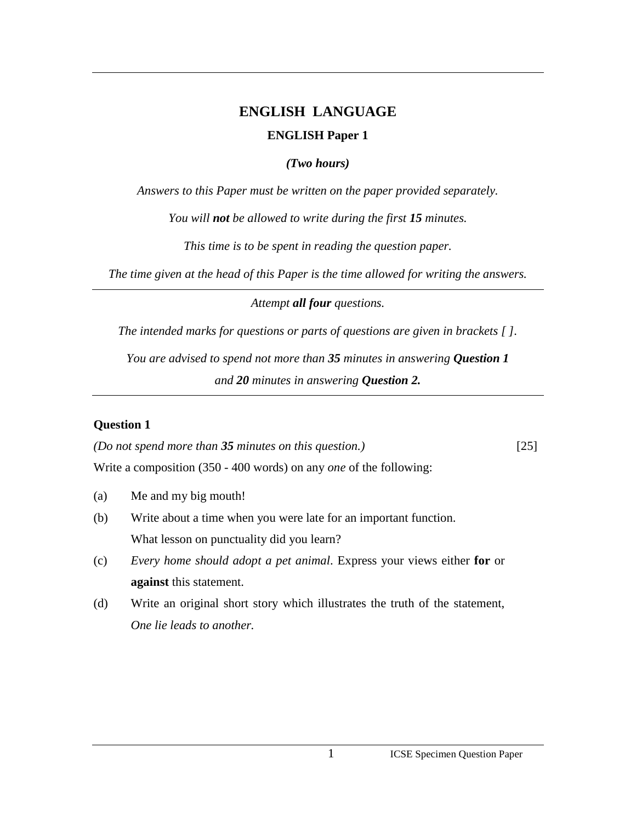# **ENGLISH LANGUAGE ENGLISH Paper 1**

### *(Two hours)*

*Answers to this Paper must be written on the paper provided separately.* 

*You will not be allowed to write during the first 15 minutes.* 

*This time is to be spent in reading the question paper.* 

*The time given at the head of this Paper is the time allowed for writing the answers.*

*Attempt all four questions.*

*The intended marks for questions or parts of questions are given in brackets [ ].* 

*You are advised to spend not more than 35 minutes in answering Question 1 and 20 minutes in answering Question 2.*

# **Question 1**

*(Do not spend more than 35 minutes on this question.)* [25] Write a composition (350 - 400 words) on any *one* of the following:

- (a) Me and my big mouth!
- (b) Write about a time when you were late for an important function. What lesson on punctuality did you learn?
- (c) *Every home should adopt a pet animal*. Express your views either **for** or **against** this statement.
- (d) Write an original short story which illustrates the truth of the statement, *One lie leads to another.*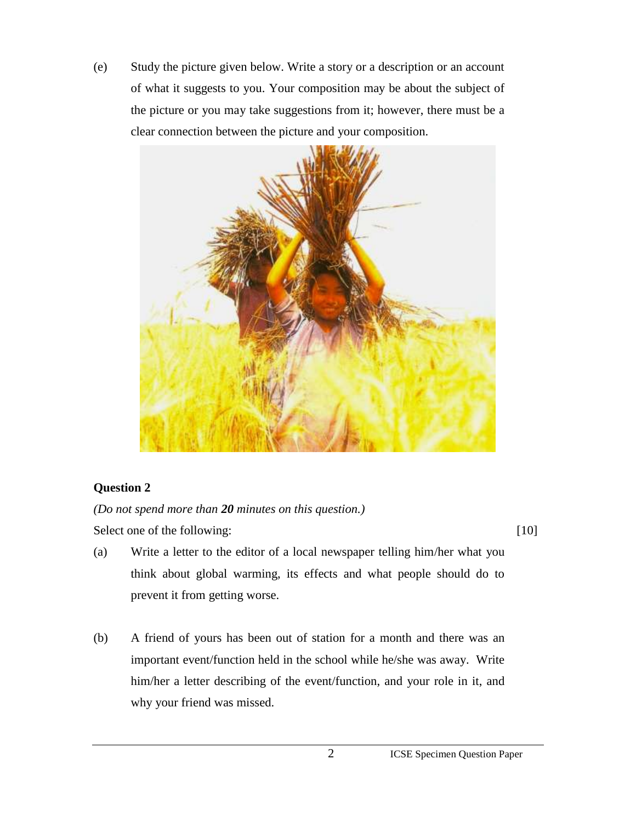(e) Study the picture given below. Write a story or a description or an account of what it suggests to you. Your composition may be about the subject of the picture or you may take suggestions from it; however, there must be a clear connection between the picture and your composition.



# **Question 2**

*(Do not spend more than 20 minutes on this question.)* 

Select one of the following: [10]

- (a) Write a letter to the editor of a local newspaper telling him/her what you think about global warming, its effects and what people should do to prevent it from getting worse.
- (b) A friend of yours has been out of station for a month and there was an important event/function held in the school while he/she was away. Write him/her a letter describing of the event/function, and your role in it, and why your friend was missed.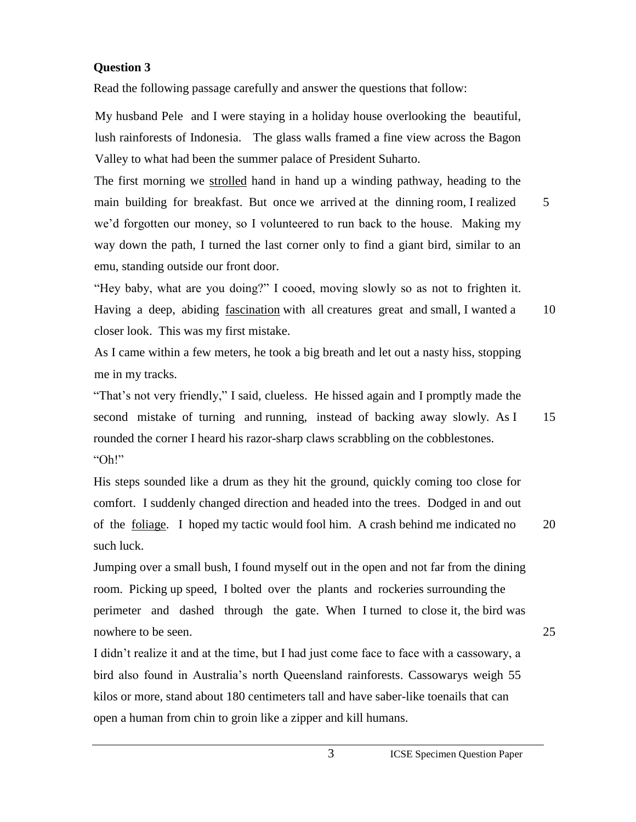#### **Question 3**

Read the following passage carefully and answer the questions that follow:

My husband Pele and I were staying in a holiday house overlooking the beautiful, lush rainforests of Indonesia. The glass walls framed a fine view across the Bagon Valley to what had been the summer palace of President Suharto.

The first morning we strolled hand in hand up a winding pathway, heading to the main building for breakfast. But once we arrived at the dinning room, I realized 5 we"d forgotten our money, so I volunteered to run back to the house. Making my way down the path, I turned the last corner only to find a giant bird, similar to an emu, standing outside our front door.

"Hey baby, what are you doing?" I cooed, moving slowly so as not to frighten it. Having a deep, abiding fascination with all creatures great and small, I wanted a 10 closer look. This was my first mistake.

As I came within a few meters, he took a big breath and let out a nasty hiss, stopping me in my tracks.

"That"s not very friendly," I said, clueless. He hissed again and I promptly made the second mistake of turning and running, instead of backing away slowly. As I 15 rounded the corner I heard his razor-sharp claws scrabbling on the cobblestones. "Oh!"

His steps sounded like a drum as they hit the ground, quickly coming too close for comfort. I suddenly changed direction and headed into the trees. Dodged in and out of the foliage. I hoped my tactic would fool him. A crash behind me indicated no 20 such luck.

Jumping over a small bush, I found myself out in the open and not far from the dining room. Picking up speed, I bolted over the plants and rockeries surrounding the perimeter and dashed through the gate. When I turned to close it, the bird was nowhere to be seen. 25

I didn"t realize it and at the time, but I had just come face to face with a cassowary, a bird also found in Australia"s north Queensland rainforests. Cassowarys weigh 55 kilos or more, stand about 180 centimeters tall and have saber-like toenails that can open a human from chin to groin like a zipper and kill humans.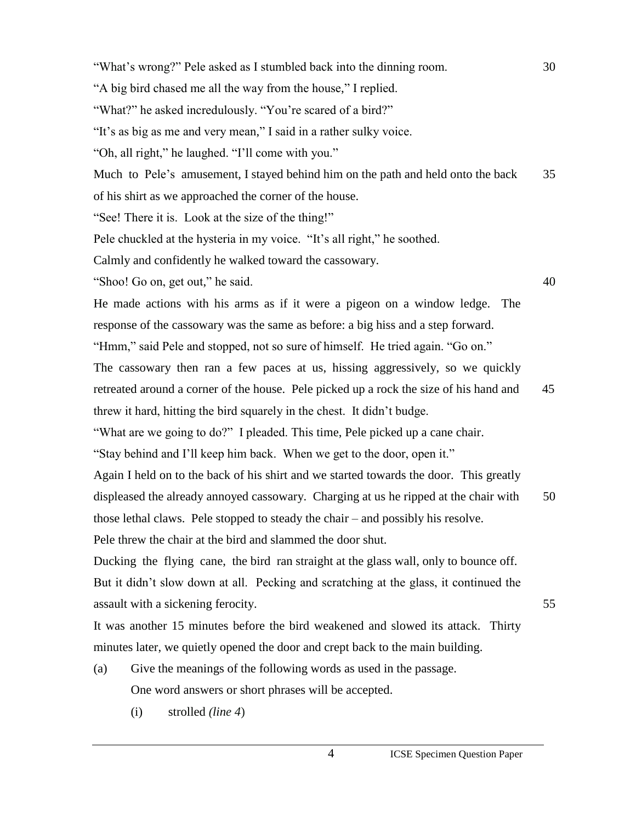"What's wrong?" Pele asked as I stumbled back into the dinning room. 30 "A big bird chased me all the way from the house," I replied. "What?" he asked incredulously. "You're scared of a bird?" "It's as big as me and very mean," I said in a rather sulky voice. "Oh, all right," he laughed. "I"ll come with you." Much to Pele's amusement, I stayed behind him on the path and held onto the back 35 of his shirt as we approached the corner of the house. "See! There it is. Look at the size of the thing!" Pele chuckled at the hysteria in my voice. "It's all right," he soothed. Calmly and confidently he walked toward the cassowary. "Shoo! Go on, get out," he said. 40 He made actions with his arms as if it were a pigeon on a window ledge. The response of the cassowary was the same as before: a big hiss and a step forward. "Hmm," said Pele and stopped, not so sure of himself. He tried again. "Go on." The cassowary then ran a few paces at us, hissing aggressively, so we quickly retreated around a corner of the house. Pele picked up a rock the size of his hand and 45 threw it hard, hitting the bird squarely in the chest. It didn"t budge. "What are we going to do?" I pleaded. This time, Pele picked up a cane chair. "Stay behind and I"ll keep him back. When we get to the door, open it." Again I held on to the back of his shirt and we started towards the door. This greatly displeased the already annoyed cassowary. Charging at us he ripped at the chair with 50 those lethal claws. Pele stopped to steady the chair – and possibly his resolve. Pele threw the chair at the bird and slammed the door shut. Ducking the flying cane, the bird ran straight at the glass wall, only to bounce off. But it didn"t slow down at all. Pecking and scratching at the glass, it continued the assault with a sickening ferocity.  $55$ It was another 15 minutes before the bird weakened and slowed its attack. Thirty minutes later, we quietly opened the door and crept back to the main building. (a) Give the meanings of the following words as used in the passage. One word answers or short phrases will be accepted. (i) strolled *(line 4*)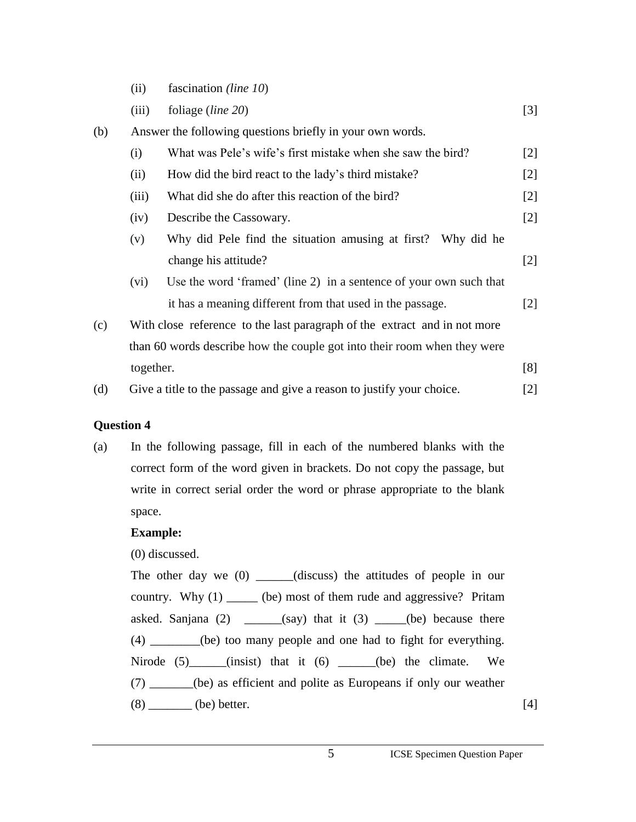- (ii) fascination *(line 10*)
- (iii) foliage (*line 20*) [3]

| (b) | Answer the following questions briefly in your own words.                 |                                                                    |                                                                                                                                                                                                  |
|-----|---------------------------------------------------------------------------|--------------------------------------------------------------------|--------------------------------------------------------------------------------------------------------------------------------------------------------------------------------------------------|
|     | (i)                                                                       | What was Pele's wife's first mistake when she saw the bird?        | $\lceil 2 \rceil$                                                                                                                                                                                |
|     | (ii)                                                                      | How did the bird react to the lady's third mistake?                | $[2]$                                                                                                                                                                                            |
|     | (iii)                                                                     | What did she do after this reaction of the bird?                   | $[2]$                                                                                                                                                                                            |
|     | (iv)                                                                      | Describe the Cassowary.                                            | $[2]$                                                                                                                                                                                            |
|     | (v)                                                                       | Why did Pele find the situation amusing at first?<br>Why did he    |                                                                                                                                                                                                  |
|     |                                                                           | change his attitude?                                               | $[2]$                                                                                                                                                                                            |
|     | (vi)                                                                      | Use the word 'framed' (line 2) in a sentence of your own such that |                                                                                                                                                                                                  |
|     |                                                                           | it has a meaning different from that used in the passage.          | $\lceil 2 \rceil$                                                                                                                                                                                |
| (c) | With close reference to the last paragraph of the extract and in not more |                                                                    |                                                                                                                                                                                                  |
|     | than 60 words describe how the couple got into their room when they were  |                                                                    |                                                                                                                                                                                                  |
|     | together.                                                                 |                                                                    | [8]                                                                                                                                                                                              |
| (d) | Give a title to the passage and give a reason to justify your choice.     |                                                                    | $[2] % \includegraphics[width=0.9\columnwidth]{figures/fig_1a} \caption{The figure shows the number of times on the right, and the number of times on the right, respectively.} \label{fig:1} %$ |

## **Question 4**

(a) In the following passage, fill in each of the numbered blanks with the correct form of the word given in brackets. Do not copy the passage, but write in correct serial order the word or phrase appropriate to the blank space.

## **Example:**

(0) discussed.

The other day we (0) \_\_\_\_\_(discuss) the attitudes of people in our country. Why (1) \_\_\_\_\_ (be) most of them rude and aggressive? Pritam asked. Sanjana  $(2)$  \_\_\_\_\_(say) that it  $(3)$  \_\_\_(be) because there (4) \_\_\_\_\_\_\_\_(be) too many people and one had to fight for everything. Nirode  $(5)$  (insist) that it  $(6)$  (be) the climate. We (7) \_\_\_\_\_\_\_(be) as efficient and polite as Europeans if only our weather  $(8)$  (be) better. [4]